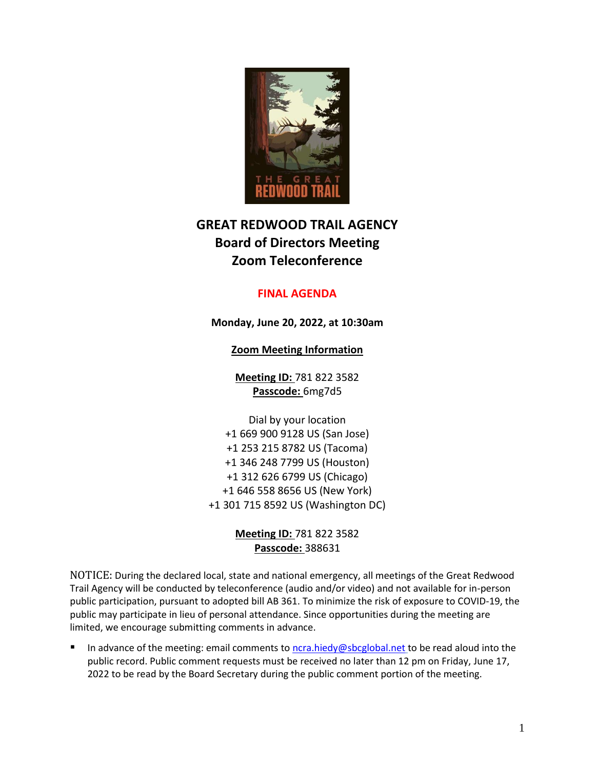

# **GREAT REDWOOD TRAIL AGENCY Board of Directors Meeting Zoom Teleconference**

# **FINAL AGENDA**

**Monday, June 20, 2022, at 10:30am**

**Zoom Meeting Information**

**Meeting ID:** 781 822 3582 **Passcode:** 6mg7d5

Dial by your location +1 669 900 9128 US (San Jose) +1 253 215 8782 US (Tacoma) +1 346 248 7799 US (Houston) +1 312 626 6799 US (Chicago) +1 646 558 8656 US (New York) +1 301 715 8592 US (Washington DC)

> **Meeting ID:** 781 822 3582 **Passcode:** 388631

NOTICE: During the declared local, state and national emergency, all meetings of the Great Redwood Trail Agency will be conducted by teleconference (audio and/or video) and not available for in-person public participation, pursuant to adopted bill AB 361. To minimize the risk of exposure to COVID-19, the public may participate in lieu of personal attendance. Since opportunities during the meeting are limited, we encourage submitting comments in advance.

In advance of the meeting: email comments to [ncra.hiedy@sbcglobal.net](mailto:ncra.hiedy@sbcglobal.net) to be read aloud into the public record. Public comment requests must be received no later than 12 pm on Friday, June 17, 2022 to be read by the Board Secretary during the public comment portion of the meeting.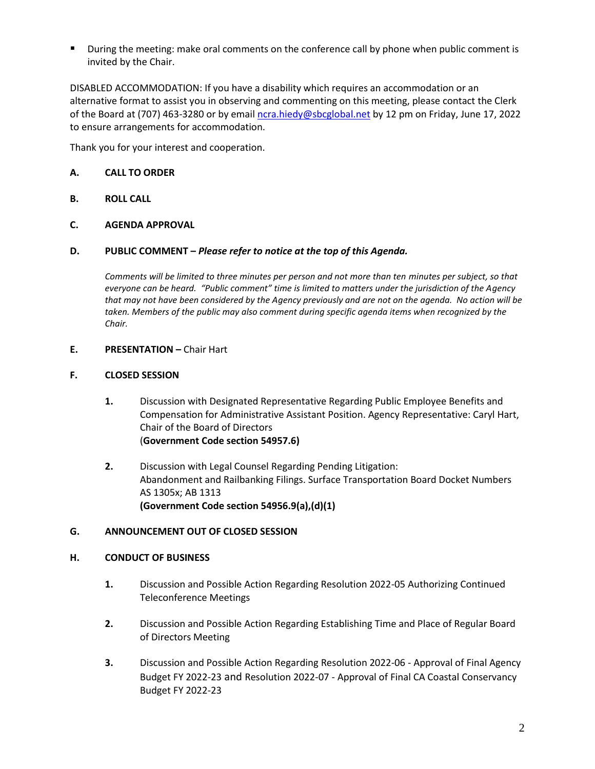During the meeting: make oral comments on the conference call by phone when public comment is invited by the Chair.

DISABLED ACCOMMODATION: If you have a disability which requires an accommodation or an alternative format to assist you in observing and commenting on this meeting, please contact the Clerk of the Board at (707) 463-3280 or by email [ncra.hiedy@sbcglobal.net](mailto:ncra.hiedy@sbcglobal.net) by 12 pm on Friday, June 17, 2022 to ensure arrangements for accommodation.

Thank you for your interest and cooperation.

# **A. CALL TO ORDER**

**B. ROLL CALL** 

# **C. AGENDA APPROVAL**

## **D. PUBLIC COMMENT –** *Please refer to notice at the top of this Agenda.*

*Comments will be limited to three minutes per person and not more than ten minutes per subject, so that everyone can be heard. "Public comment" time is limited to matters under the jurisdiction of the Agency that may not have been considered by the Agency previously and are not on the agenda. No action will be taken. Members of the public may also comment during specific agenda items when recognized by the Chair.*

## **E. PRESENTATION –** Chair Hart

## **F. CLOSED SESSION**

- **1.** Discussion with Designated Representative Regarding Public Employee Benefits and Compensation for Administrative Assistant Position. Agency Representative: Caryl Hart, Chair of the Board of Directors (**Government Code section 54957.6)**
- **2.** Discussion with Legal Counsel Regarding Pending Litigation: Abandonment and Railbanking Filings. Surface Transportation Board Docket Numbers AS 1305x; AB 1313 **(Government Code section 54956.9(a),(d)(1)**

## **G. ANNOUNCEMENT OUT OF CLOSED SESSION**

## **H. CONDUCT OF BUSINESS**

- **1.** Discussion and Possible Action Regarding Resolution 2022-05 Authorizing Continued Teleconference Meetings
- **2.** Discussion and Possible Action Regarding Establishing Time and Place of Regular Board of Directors Meeting
- **3.** Discussion and Possible Action Regarding Resolution 2022-06 Approval of Final Agency Budget FY 2022-23 and Resolution 2022-07 - Approval of Final CA Coastal Conservancy Budget FY 2022-23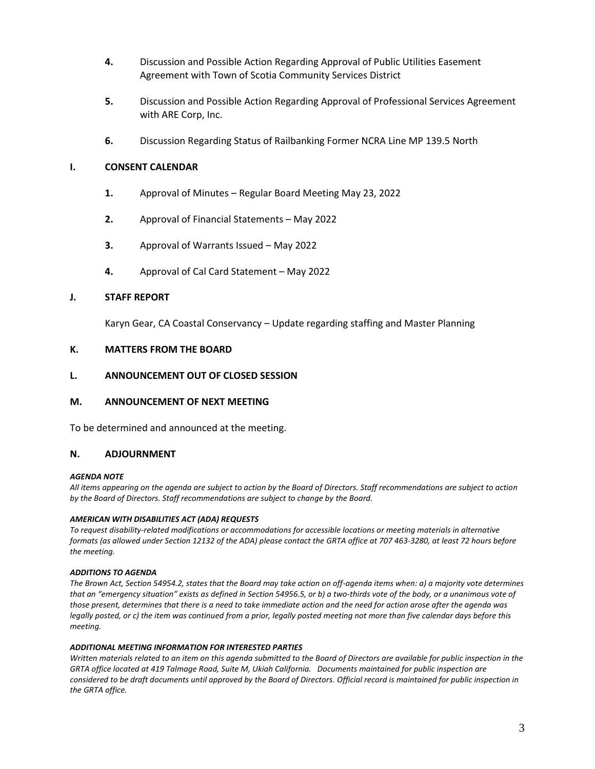- **4.** Discussion and Possible Action Regarding Approval of Public Utilities Easement Agreement with Town of Scotia Community Services District
- **5.** Discussion and Possible Action Regarding Approval of Professional Services Agreement with ARE Corp, Inc.
- **6.** Discussion Regarding Status of Railbanking Former NCRA Line MP 139.5 North

## **I. CONSENT CALENDAR**

- **1.** Approval of Minutes Regular Board Meeting May 23, 2022
- **2.** Approval of Financial Statements May 2022
- **3.** Approval of Warrants Issued May 2022
- **4.** Approval of Cal Card Statement May 2022

#### **J. STAFF REPORT**

Karyn Gear, CA Coastal Conservancy – Update regarding staffing and Master Planning

#### **K. MATTERS FROM THE BOARD**

## **L. ANNOUNCEMENT OUT OF CLOSED SESSION**

## **M. ANNOUNCEMENT OF NEXT MEETING**

To be determined and announced at the meeting.

### **N. ADJOURNMENT**

#### *AGENDA NOTE*

*All items appearing on the agenda are subject to action by the Board of Directors. Staff recommendations are subject to action by the Board of Directors. Staff recommendations are subject to change by the Board.*

#### *AMERICAN WITH DISABILITIES ACT (ADA) REQUESTS*

*To request disability-related modifications or accommodations for accessible locations or meeting materials in alternative formats (as allowed under Section 12132 of the ADA) please contact the GRTA office at 707 463-3280, at least 72 hours before the meeting.*

#### *ADDITIONS TO AGENDA*

*The Brown Act, Section 54954.2, states that the Board may take action on off-agenda items when: a) a majority vote determines that an "emergency situation" exists as defined in Section 54956.5, or b) a two-thirds vote of the body, or a unanimous vote of those present, determines that there is a need to take immediate action and the need for action arose after the agenda was legally posted, or c) the item was continued from a prior, legally posted meeting not more than five calendar days before this meeting.*

#### *ADDITIONAL MEETING INFORMATION FOR INTERESTED PARTIES*

*Written materials related to an item on this agenda submitted to the Board of Directors are available for public inspection in the GRTA office located at 419 Talmage Road, Suite M, Ukiah California. Documents maintained for public inspection are considered to be draft documents until approved by the Board of Directors. Official record is maintained for public inspection in the GRTA office.*